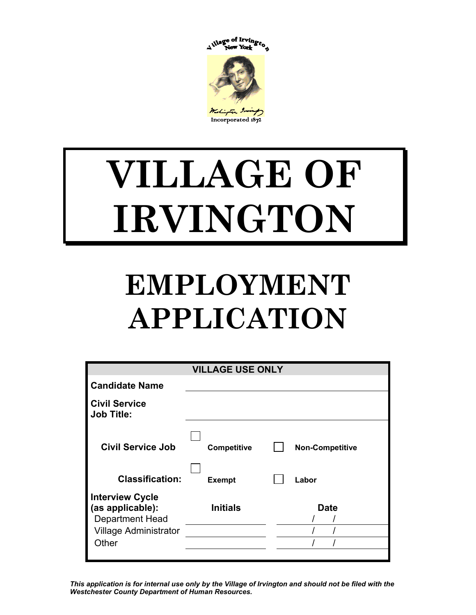

## **VILLAGE OF IRVINGTON**

## **EMPLOYMENT APPLICATION**

|                                                                                                      | <b>VILLAGE USE ONLY</b> |                        |
|------------------------------------------------------------------------------------------------------|-------------------------|------------------------|
| <b>Candidate Name</b>                                                                                |                         |                        |
| <b>Civil Service</b><br><b>Job Title:</b>                                                            |                         |                        |
| <b>Civil Service Job</b>                                                                             | <b>Competitive</b>      | <b>Non-Competitive</b> |
| <b>Classification:</b>                                                                               | <b>Exempt</b>           | Labor                  |
| <b>Interview Cycle</b><br>(as applicable):<br><b>Department Head</b><br><b>Village Administrator</b> | <b>Initials</b>         | Date                   |
| Other                                                                                                |                         |                        |

*This application is for internal use only by the Village of Irvington and should not be filed with the Westchester County Department of Human Resources.*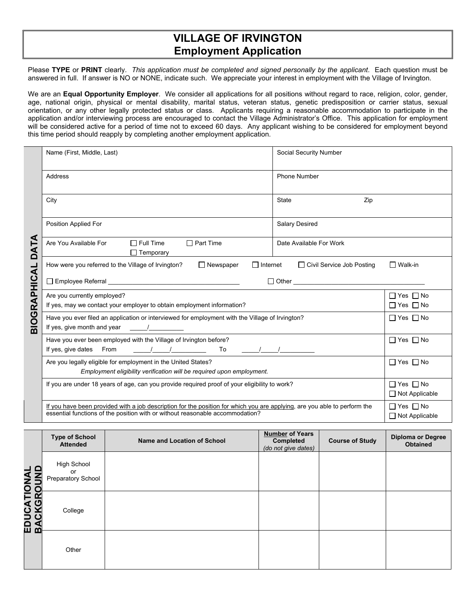## **VILLAGE OF IRVINGTON Employment Application**

Please **TYPE** or **PRINT** clearly. *This application must be completed and signed personally by the applicant*. Each question must be answered in full. If answer is NO or NONE, indicate such. We appreciate your interest in employment with the Village of Irvington.

We are an **Equal Opportunity Employer**. We consider all applications for all positions without regard to race, religion, color, gender, age, national origin, physical or mental disability, marital status, veteran status, genetic predisposition or carrier status, sexual orientation, or any other legally protected status or class. Applicants requiring a reasonable accommodation to participate in the application and/or interviewing process are encouraged to contact the Village Administrator's Office. This application for employment will be considered active for a period of time not to exceed 60 days. Any applicant wishing to be considered for employment beyond this time period should reapply by completing another employment application.

|                     | Name (First, Middle, Last)                                                                                                                                                                                                                                                                                                                                                                                                | Social Security Number      |                                               |  |  |  |
|---------------------|---------------------------------------------------------------------------------------------------------------------------------------------------------------------------------------------------------------------------------------------------------------------------------------------------------------------------------------------------------------------------------------------------------------------------|-----------------------------|-----------------------------------------------|--|--|--|
|                     | Address                                                                                                                                                                                                                                                                                                                                                                                                                   | Phone Number                |                                               |  |  |  |
|                     | City                                                                                                                                                                                                                                                                                                                                                                                                                      | <b>State</b><br>Zip         |                                               |  |  |  |
|                     | Position Applied For                                                                                                                                                                                                                                                                                                                                                                                                      | <b>Salary Desired</b>       |                                               |  |  |  |
| Ϋ́<br>Τ<br>Ä        | $\Box$ Full Time<br>$\Box$ Part Time<br>Are You Available For<br>$\Box$ Temporary                                                                                                                                                                                                                                                                                                                                         | Date Available For Work     |                                               |  |  |  |
|                     | How were you referred to the Village of Irvington?<br>$\Box$ Internet<br>$\Box$ Newspaper                                                                                                                                                                                                                                                                                                                                 | □ Civil Service Job Posting | $\Box$ Walk-in                                |  |  |  |
|                     | $\Box$ Other $\Box$                                                                                                                                                                                                                                                                                                                                                                                                       |                             |                                               |  |  |  |
| <b>BIOGRAPHICAL</b> | $\Box$ Yes $\Box$ No<br>Are you currently employed?<br>If yes, may we contact your employer to obtain employment information?<br>$\Box$ Yes $\Box$ No                                                                                                                                                                                                                                                                     |                             |                                               |  |  |  |
|                     | Have you ever filed an application or interviewed for employment with the Village of Irvington?<br>If yes, give month and year<br>$\mathcal{L}$ and $\mathcal{L}$ and $\mathcal{L}$ and $\mathcal{L}$                                                                                                                                                                                                                     |                             | $\Box$ Yes $\Box$ No                          |  |  |  |
|                     | Have you ever been employed with the Village of Irvington before?<br>If yes, give dates From<br>$\frac{1}{2}$ $\frac{1}{2}$ $\frac{1}{2}$ $\frac{1}{2}$ $\frac{1}{2}$ $\frac{1}{2}$ $\frac{1}{2}$ $\frac{1}{2}$ $\frac{1}{2}$ $\frac{1}{2}$ $\frac{1}{2}$ $\frac{1}{2}$ $\frac{1}{2}$ $\frac{1}{2}$ $\frac{1}{2}$ $\frac{1}{2}$ $\frac{1}{2}$ $\frac{1}{2}$ $\frac{1}{2}$ $\frac{1}{2}$ $\frac{1}{2}$ $\frac{1}{2}$<br>To |                             | $\Box$ Yes $\Box$ No                          |  |  |  |
|                     | Are you legally eligible for employment in the United States?<br>Employment eligibility verification will be required upon employment.                                                                                                                                                                                                                                                                                    |                             | $\Box$ Yes $\Box$ No                          |  |  |  |
|                     | If you are under 18 years of age, can you provide required proof of your eligibility to work?                                                                                                                                                                                                                                                                                                                             |                             | $\Box$ Yes $\Box$ No<br>$\Box$ Not Applicable |  |  |  |
|                     | If you have been provided with a job description for the position for which you are applying, are you able to perform the<br>essential functions of the position with or without reasonable accommodation?                                                                                                                                                                                                                |                             | $\Box$ Yes $\Box$ No<br>$\Box$ Not Applicable |  |  |  |

|                                   | <b>Type of School</b><br><b>Attended</b> | Name and Location of School | <b>Number of Years</b><br>Completed<br>(do not give dates) | <b>Course of Study</b> | <b>Diploma or Degree</b><br><b>Obtained</b> |
|-----------------------------------|------------------------------------------|-----------------------------|------------------------------------------------------------|------------------------|---------------------------------------------|
|                                   | High School<br>or<br>Preparatory School  |                             |                                                            |                        |                                             |
| <b>EDUCATIONAL<br/>BACKGROUND</b> | College                                  |                             |                                                            |                        |                                             |
|                                   | Other                                    |                             |                                                            |                        |                                             |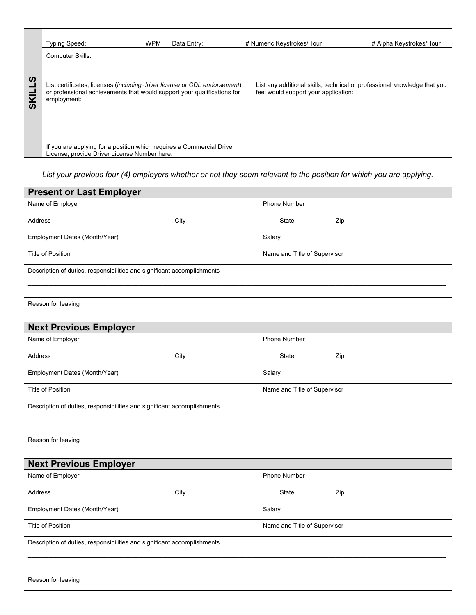|               | <b>Typing Speed:</b>                                                                                                                                                | <b>WPM</b> | Data Entry: |                                      | # Numeric Keystrokes/Hour                                                | # Alpha Keystrokes/Hour |
|---------------|---------------------------------------------------------------------------------------------------------------------------------------------------------------------|------------|-------------|--------------------------------------|--------------------------------------------------------------------------|-------------------------|
|               | <b>Computer Skills:</b>                                                                                                                                             |            |             |                                      |                                                                          |                         |
| ທ<br>KIL<br>ທ | List certificates, licenses (including driver license or CDL endorsement)<br>or professional achievements that would support your qualifications for<br>employment: |            |             | feel would support your application: | List any additional skills, technical or professional knowledge that you |                         |
|               | If you are applying for a position which requires a Commercial Driver<br>License, provide Driver License Number here:                                               |            |             |                                      |                                                                          |                         |

*List your previous four (4) employers whether or not they seem relevant to the position for which you are applying.*

| <b>Present or Last Employer</b>                                         |      |                              |     |  |
|-------------------------------------------------------------------------|------|------------------------------|-----|--|
| Name of Employer                                                        |      | Phone Number                 |     |  |
| Address                                                                 | City | State                        | Zip |  |
| Employment Dates (Month/Year)                                           |      | Salary                       |     |  |
| Title of Position                                                       |      | Name and Title of Supervisor |     |  |
| Description of duties, responsibilities and significant accomplishments |      |                              |     |  |
| Reason for leaving                                                      |      |                              |     |  |
|                                                                         |      |                              |     |  |

| <b>Next Previous Employer</b> |                                                                         |                              |  |  |  |
|-------------------------------|-------------------------------------------------------------------------|------------------------------|--|--|--|
| Name of Employer              |                                                                         | <b>Phone Number</b>          |  |  |  |
| Address<br>City               |                                                                         | <b>State</b><br>Zip          |  |  |  |
| Employment Dates (Month/Year) |                                                                         | Salary                       |  |  |  |
| Title of Position             |                                                                         | Name and Title of Supervisor |  |  |  |
|                               | Description of duties, responsibilities and significant accomplishments |                              |  |  |  |
| Reason for leaving            |                                                                         |                              |  |  |  |

| <b>Next Previous Employer</b>                                           |      |                              |     |  |  |
|-------------------------------------------------------------------------|------|------------------------------|-----|--|--|
| Name of Employer                                                        |      | <b>Phone Number</b>          |     |  |  |
| Address                                                                 | City | State                        | Zip |  |  |
| Employment Dates (Month/Year)                                           |      | Salary                       |     |  |  |
| <b>Title of Position</b>                                                |      | Name and Title of Supervisor |     |  |  |
| Description of duties, responsibilities and significant accomplishments |      |                              |     |  |  |
| Reason for leaving                                                      |      |                              |     |  |  |